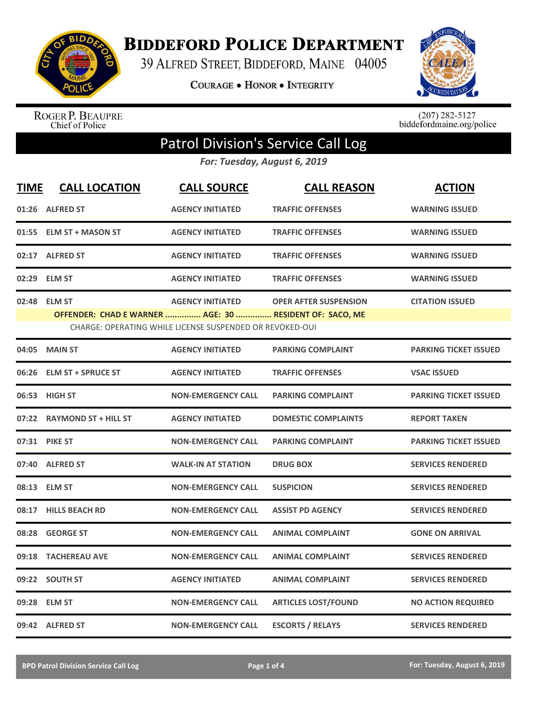

**BIDDEFORD POLICE DEPARTMENT** 

39 ALFRED STREET, BIDDEFORD, MAINE 04005

**COURAGE . HONOR . INTEGRITY** 



ROGER P. BEAUPRE<br>Chief of Police

 $(207)$  282-5127<br>biddefordmaine.org/police

## Patrol Division's Service Call Log

*For: Tuesday, August 6, 2019*

| <b>TIME</b> | <b>CALL LOCATION</b>                                                     | <b>CALL SOURCE</b>                                                                  | <b>CALL REASON</b>           | <b>ACTION</b>                |
|-------------|--------------------------------------------------------------------------|-------------------------------------------------------------------------------------|------------------------------|------------------------------|
|             | 01:26 ALFRED ST                                                          | <b>AGENCY INITIATED</b>                                                             | <b>TRAFFIC OFFENSES</b>      | <b>WARNING ISSUED</b>        |
|             | 01:55 ELM ST + MASON ST                                                  | <b>AGENCY INITIATED</b>                                                             | <b>TRAFFIC OFFENSES</b>      | <b>WARNING ISSUED</b>        |
|             | 02:17 ALFRED ST                                                          | <b>AGENCY INITIATED</b>                                                             | <b>TRAFFIC OFFENSES</b>      | <b>WARNING ISSUED</b>        |
|             | 02:29 ELM ST                                                             | <b>AGENCY INITIATED</b>                                                             | <b>TRAFFIC OFFENSES</b>      | <b>WARNING ISSUED</b>        |
| 02:48       | <b>ELM ST</b><br>OFFENDER: CHAD E WARNER  AGE: 30  RESIDENT OF: SACO, ME | <b>AGENCY INITIATED</b><br>CHARGE: OPERATING WHILE LICENSE SUSPENDED OR REVOKED-OUI | <b>OPER AFTER SUSPENSION</b> | <b>CITATION ISSUED</b>       |
| 04:05       | <b>MAIN ST</b>                                                           | <b>AGENCY INITIATED</b>                                                             | <b>PARKING COMPLAINT</b>     | <b>PARKING TICKET ISSUED</b> |
| 06:26       | <b>ELM ST + SPRUCE ST</b>                                                | <b>AGENCY INITIATED</b>                                                             | <b>TRAFFIC OFFENSES</b>      | <b>VSAC ISSUED</b>           |
|             | 06:53 HIGH ST                                                            | <b>NON-EMERGENCY CALL</b>                                                           | <b>PARKING COMPLAINT</b>     | <b>PARKING TICKET ISSUED</b> |
|             | 07:22 RAYMOND ST + HILL ST                                               | <b>AGENCY INITIATED</b>                                                             | <b>DOMESTIC COMPLAINTS</b>   | <b>REPORT TAKEN</b>          |
|             | 07:31 PIKE ST                                                            | <b>NON-EMERGENCY CALL</b>                                                           | <b>PARKING COMPLAINT</b>     | <b>PARKING TICKET ISSUED</b> |
| 07:40       | <b>ALFRED ST</b>                                                         | <b>WALK-IN AT STATION</b>                                                           | <b>DRUG BOX</b>              | <b>SERVICES RENDERED</b>     |
|             | 08:13 ELM ST                                                             | <b>NON-EMERGENCY CALL</b>                                                           | <b>SUSPICION</b>             | <b>SERVICES RENDERED</b>     |
|             | 08:17 HILLS BEACH RD                                                     | <b>NON-EMERGENCY CALL</b>                                                           | <b>ASSIST PD AGENCY</b>      | <b>SERVICES RENDERED</b>     |
|             | 08:28 GEORGE ST                                                          | <b>NON-EMERGENCY CALL</b>                                                           | <b>ANIMAL COMPLAINT</b>      | <b>GONE ON ARRIVAL</b>       |
| 09:18       | <b>TACHEREAU AVE</b>                                                     | <b>NON-EMERGENCY CALL</b>                                                           | <b>ANIMAL COMPLAINT</b>      | <b>SERVICES RENDERED</b>     |
| 09:22       | <b>SOUTH ST</b>                                                          | <b>AGENCY INITIATED</b>                                                             | <b>ANIMAL COMPLAINT</b>      | <b>SERVICES RENDERED</b>     |
|             | 09:28 ELM ST                                                             | <b>NON-EMERGENCY CALL</b>                                                           | <b>ARTICLES LOST/FOUND</b>   | <b>NO ACTION REQUIRED</b>    |
|             | 09:42 ALFRED ST                                                          | <b>NON-EMERGENCY CALL</b>                                                           | <b>ESCORTS / RELAYS</b>      | <b>SERVICES RENDERED</b>     |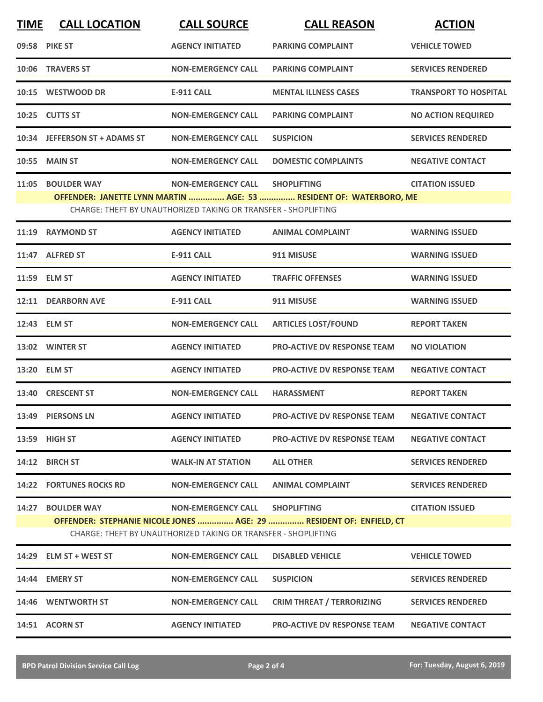| <b>TIME</b> | <b>CALL LOCATION</b>           | <b>CALL SOURCE</b>                                             | <b>CALL REASON</b>                                                  | <b>ACTION</b>                |
|-------------|--------------------------------|----------------------------------------------------------------|---------------------------------------------------------------------|------------------------------|
|             | 09:58 PIKE ST                  | <b>AGENCY INITIATED</b>                                        | <b>PARKING COMPLAINT</b>                                            | <b>VEHICLE TOWED</b>         |
|             | 10:06 TRAVERS ST               | <b>NON-EMERGENCY CALL</b>                                      | <b>PARKING COMPLAINT</b>                                            | <b>SERVICES RENDERED</b>     |
|             | 10:15 WESTWOOD DR              | <b>E-911 CALL</b>                                              | <b>MENTAL ILLNESS CASES</b>                                         | <b>TRANSPORT TO HOSPITAL</b> |
|             | 10:25 CUTTS ST                 | <b>NON-EMERGENCY CALL</b>                                      | <b>PARKING COMPLAINT</b>                                            | <b>NO ACTION REQUIRED</b>    |
|             | 10:34 JEFFERSON ST + ADAMS ST  | <b>NON-EMERGENCY CALL</b>                                      | <b>SUSPICION</b>                                                    | <b>SERVICES RENDERED</b>     |
|             | <b>10:55 MAIN ST</b>           | <b>NON-EMERGENCY CALL</b>                                      | <b>DOMESTIC COMPLAINTS</b>                                          | <b>NEGATIVE CONTACT</b>      |
|             | 11:05 BOULDER WAY              | <b>NON-EMERGENCY CALL</b>                                      | <b>SHOPLIFTING</b>                                                  | <b>CITATION ISSUED</b>       |
|             |                                |                                                                | OFFENDER: JANETTE LYNN MARTIN  AGE: 53  RESIDENT OF: WATERBORO, ME  |                              |
|             |                                | CHARGE: THEFT BY UNAUTHORIZED TAKING OR TRANSFER - SHOPLIFTING |                                                                     |                              |
| 11:19       | <b>RAYMOND ST</b>              | <b>AGENCY INITIATED</b>                                        | <b>ANIMAL COMPLAINT</b>                                             | <b>WARNING ISSUED</b>        |
|             | 11:47 ALFRED ST                | <b>E-911 CALL</b>                                              | 911 MISUSE                                                          | <b>WARNING ISSUED</b>        |
|             | 11:59 ELM ST                   | <b>AGENCY INITIATED</b>                                        | <b>TRAFFIC OFFENSES</b>                                             | <b>WARNING ISSUED</b>        |
|             | 12:11 DEARBORN AVE             | <b>E-911 CALL</b>                                              | 911 MISUSE                                                          | <b>WARNING ISSUED</b>        |
|             | 12:43 ELM ST                   | <b>NON-EMERGENCY CALL</b>                                      | <b>ARTICLES LOST/FOUND</b>                                          | <b>REPORT TAKEN</b>          |
|             | 13:02 WINTER ST                | <b>AGENCY INITIATED</b>                                        | <b>PRO-ACTIVE DV RESPONSE TEAM</b>                                  | <b>NO VIOLATION</b>          |
|             | 13:20 ELM ST                   | <b>AGENCY INITIATED</b>                                        | <b>PRO-ACTIVE DV RESPONSE TEAM</b>                                  | <b>NEGATIVE CONTACT</b>      |
|             | 13:40 CRESCENT ST              | <b>NON-EMERGENCY CALL</b>                                      | <b>HARASSMENT</b>                                                   | <b>REPORT TAKEN</b>          |
|             | 13:49 PIERSONS LN              | <b>AGENCY INITIATED</b>                                        | <b>PRO-ACTIVE DV RESPONSE TEAM</b>                                  | <b>NEGATIVE CONTACT</b>      |
|             | 13:59 HIGH ST                  | <b>AGENCY INITIATED</b>                                        | <b>PRO-ACTIVE DV RESPONSE TEAM</b>                                  | <b>NEGATIVE CONTACT</b>      |
|             | 14:12 BIRCH ST                 | <b>WALK-IN AT STATION</b>                                      | <b>ALL OTHER</b>                                                    | <b>SERVICES RENDERED</b>     |
|             | <b>14:22 FORTUNES ROCKS RD</b> | <b>NON-EMERGENCY CALL</b>                                      | ANIMAL COMPLAINT                                                    | <b>SERVICES RENDERED</b>     |
|             | 14:27 BOULDER WAY              | NON-EMERGENCY CALL SHOPLIFTING                                 |                                                                     | <b>CITATION ISSUED</b>       |
|             |                                | CHARGE: THEFT BY UNAUTHORIZED TAKING OR TRANSFER - SHOPLIFTING | OFFENDER: STEPHANIE NICOLE JONES  AGE: 29  RESIDENT OF: ENFIELD, CT |                              |
|             | 14:29 ELM ST + WEST ST         | <b>NON-EMERGENCY CALL</b>                                      | <b>DISABLED VEHICLE</b>                                             | <b>VEHICLE TOWED</b>         |
|             | 14:44 EMERY ST                 | <b>NON-EMERGENCY CALL</b>                                      | <b>SUSPICION</b>                                                    | <b>SERVICES RENDERED</b>     |
|             | 14:46 WENTWORTH ST             | <b>NON-EMERGENCY CALL</b>                                      | <b>CRIM THREAT / TERRORIZING</b>                                    | <b>SERVICES RENDERED</b>     |
|             | 14:51 ACORN ST                 | <b>AGENCY INITIATED</b>                                        | <b>PRO-ACTIVE DV RESPONSE TEAM</b>                                  | <b>NEGATIVE CONTACT</b>      |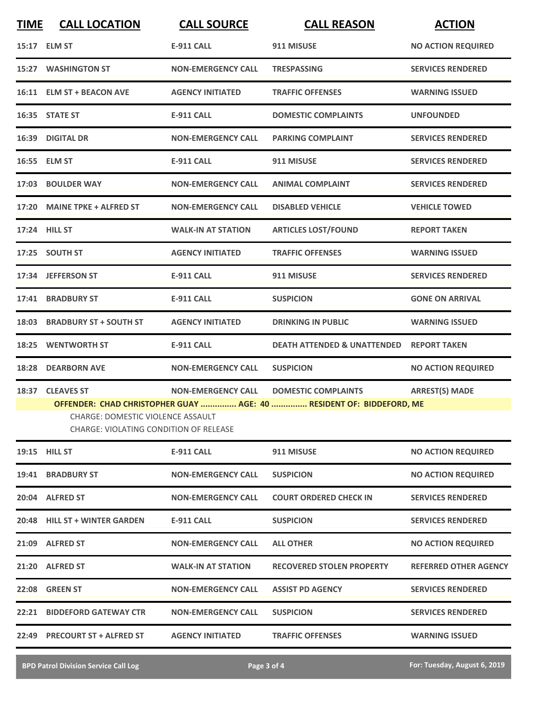| <b>TIME</b> | <b>CALL LOCATION</b>                                                               | <b>CALL SOURCE</b>        | <b>CALL REASON</b>                                                   | <b>ACTION</b>                |
|-------------|------------------------------------------------------------------------------------|---------------------------|----------------------------------------------------------------------|------------------------------|
|             | 15:17 ELM ST                                                                       | <b>E-911 CALL</b>         | 911 MISUSE                                                           | <b>NO ACTION REQUIRED</b>    |
|             | <b>15:27 WASHINGTON ST</b>                                                         | <b>NON-EMERGENCY CALL</b> | <b>TRESPASSING</b>                                                   | <b>SERVICES RENDERED</b>     |
|             | 16:11 ELM ST + BEACON AVE                                                          | <b>AGENCY INITIATED</b>   | <b>TRAFFIC OFFENSES</b>                                              | <b>WARNING ISSUED</b>        |
|             | 16:35 STATE ST                                                                     | <b>E-911 CALL</b>         | <b>DOMESTIC COMPLAINTS</b>                                           | <b>UNFOUNDED</b>             |
| 16:39       | <b>DIGITAL DR</b>                                                                  | <b>NON-EMERGENCY CALL</b> | <b>PARKING COMPLAINT</b>                                             | <b>SERVICES RENDERED</b>     |
|             | 16:55 ELM ST                                                                       | <b>E-911 CALL</b>         | 911 MISUSE                                                           | <b>SERVICES RENDERED</b>     |
| 17:03       | <b>BOULDER WAY</b>                                                                 | <b>NON-EMERGENCY CALL</b> | <b>ANIMAL COMPLAINT</b>                                              | <b>SERVICES RENDERED</b>     |
|             | 17:20 MAINE TPKE + ALFRED ST                                                       | <b>NON-EMERGENCY CALL</b> | <b>DISABLED VEHICLE</b>                                              | <b>VEHICLE TOWED</b>         |
|             | 17:24 HILL ST                                                                      | <b>WALK-IN AT STATION</b> | <b>ARTICLES LOST/FOUND</b>                                           | <b>REPORT TAKEN</b>          |
|             | 17:25 SOUTH ST                                                                     | <b>AGENCY INITIATED</b>   | <b>TRAFFIC OFFENSES</b>                                              | <b>WARNING ISSUED</b>        |
|             | 17:34 JEFFERSON ST                                                                 | <b>E-911 CALL</b>         | 911 MISUSE                                                           | <b>SERVICES RENDERED</b>     |
| 17:41       | <b>BRADBURY ST</b>                                                                 | <b>E-911 CALL</b>         | <b>SUSPICION</b>                                                     | <b>GONE ON ARRIVAL</b>       |
| 18:03       | <b>BRADBURY ST + SOUTH ST</b>                                                      | <b>AGENCY INITIATED</b>   | <b>DRINKING IN PUBLIC</b>                                            | <b>WARNING ISSUED</b>        |
| 18:25       | <b>WENTWORTH ST</b>                                                                | <b>E-911 CALL</b>         | <b>DEATH ATTENDED &amp; UNATTENDED</b>                               | <b>REPORT TAKEN</b>          |
| 18:28       | <b>DEARBORN AVE</b>                                                                | <b>NON-EMERGENCY CALL</b> | <b>SUSPICION</b>                                                     | <b>NO ACTION REQUIRED</b>    |
|             | 18:37 CLEAVES ST                                                                   | <b>NON-EMERGENCY CALL</b> | <b>DOMESTIC COMPLAINTS</b>                                           | <b>ARREST(S) MADE</b>        |
|             |                                                                                    |                           | OFFENDER: CHAD CHRISTOPHER GUAY  AGE: 40  RESIDENT OF: BIDDEFORD, ME |                              |
|             | CHARGE: DOMESTIC VIOLENCE ASSAULT<br><b>CHARGE: VIOLATING CONDITION OF RELEASE</b> |                           |                                                                      |                              |
|             | 19:15 HILL ST                                                                      | <b>E-911 CALL</b>         | 911 MISUSE                                                           | <b>NO ACTION REQUIRED</b>    |
| 19:41       | <b>BRADBURY ST</b>                                                                 | <b>NON-EMERGENCY CALL</b> | <b>SUSPICION</b>                                                     | <b>NO ACTION REQUIRED</b>    |
|             | 20:04 ALFRED ST                                                                    | <b>NON-EMERGENCY CALL</b> | <b>COURT ORDERED CHECK IN</b>                                        | <b>SERVICES RENDERED</b>     |
|             | 20:48 HILL ST + WINTER GARDEN                                                      | <b>E-911 CALL</b>         | <b>SUSPICION</b>                                                     | <b>SERVICES RENDERED</b>     |
|             | 21:09 ALFRED ST                                                                    | <b>NON-EMERGENCY CALL</b> | <b>ALL OTHER</b>                                                     | <b>NO ACTION REQUIRED</b>    |
|             | 21:20 ALFRED ST                                                                    | <b>WALK-IN AT STATION</b> | <b>RECOVERED STOLEN PROPERTY</b>                                     | <b>REFERRED OTHER AGENCY</b> |
| 22:08       | <b>GREEN ST</b>                                                                    | <b>NON-EMERGENCY CALL</b> | <b>ASSIST PD AGENCY</b>                                              | <b>SERVICES RENDERED</b>     |
| 22:21       | <b>BIDDEFORD GATEWAY CTR</b>                                                       | <b>NON-EMERGENCY CALL</b> | <b>SUSPICION</b>                                                     | <b>SERVICES RENDERED</b>     |
|             | 22:49 PRECOURT ST + ALFRED ST                                                      | <b>AGENCY INITIATED</b>   | <b>TRAFFIC OFFENSES</b>                                              | <b>WARNING ISSUED</b>        |